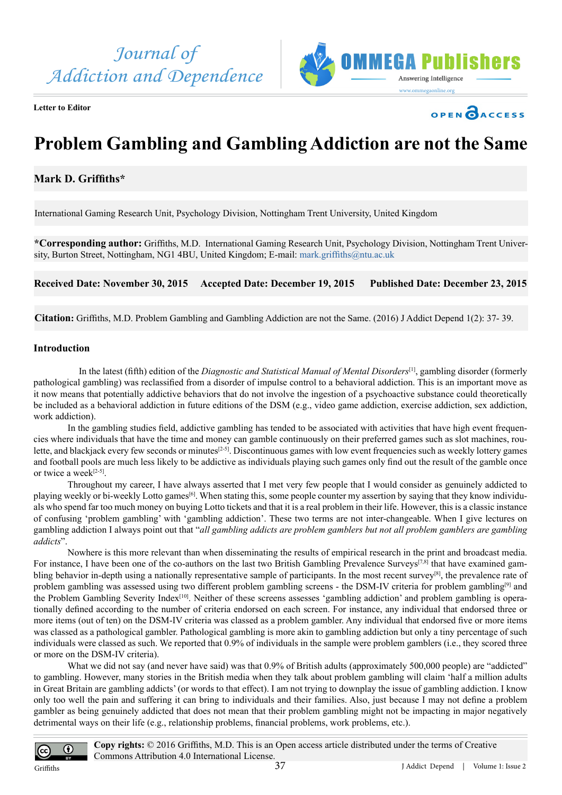







## **Problem Gambling and Gambling Addiction are not the Same**

## **Mark D. Griffiths\***

International Gaming Research Unit, Psychology Division, Nottingham Trent University, United Kingdom

**\*Corresponding author:** Griffiths, M.D. International Gaming Research Unit, Psychology Division, Nottingham Trent University, Burton Street, Nottingham, NG1 4BU, United Kingdom; E-mail: [mark.griffiths@ntu.ac.uk](mailto:mark.griffiths@ntu.ac.uk)

**Received Date: November 30, 2015 Accepted Date: December 19, 2015 Published Date: December 23, 2015**

**Citation:** Griffiths, M.D. Problem Gambling and Gambling Addiction are not the Same. (2016) J Addict Depend 1(2): 37- 39.

## **Introduction**

 In the latest (fifth) edition of the *Diagnostic and Statistical Manual of Mental Disorders*[1], gambling disorder (formerly pathological gambling) was reclassified from a disorder of impulse control to a behavioral addiction. This is an important move as it now means that potentially addictive behaviors that do not involve the ingestion of a psychoactive substance could theoretically be included as a behavioral addiction in future editions of the DSM (e.g., video game addiction, exercise addiction, sex addiction, work addiction).

In the gambling studies field, addictive gambling has tended to be associated with activities that have high event frequencies where individuals that have the time and money can gamble continuously on their preferred games such as slot machines, roulette, and blackjack every few seconds or minutes<sup>[2-5]</sup>. Discontinuous games with low event frequencies such as weekly lottery games and football pools are much less likely to be addictive as individuals playing such games only find out the result of the gamble once or twice a week<sup>[2-5]</sup>.

Throughout my career, I have always asserted that I met very few people that I would consider as genuinely addicted to playing weekly or bi-weekly Lotto games[6]. When stating this, some people counter my assertion by saying that they know individuals who spend far too much money on buying Lotto tickets and that it is a real problem in their life. However, this is a classic instance of confusing 'problem gambling' with 'gambling addiction'. These two terms are not inter-changeable. When I give lectures on gambling addiction I always point out that "*all gambling addicts are problem gamblers but not all problem gamblers are gambling addicts*".

Nowhere is this more relevant than when disseminating the results of empirical research in the print and broadcast media. For instance, I have been one of the co-authors on the last two British Gambling Prevalence Surveys<sup>[7,8]</sup> that have examined gambling behavior in-depth using a nationally representative sample of participants. In the most recent survey<sup>[8]</sup>, the prevalence rate of problem gambling was assessed using two different problem gambling screens - the DSM-IV criteria for problem gambling<sup>[9]</sup> and the Problem Gambling Severity Index<sup>[10]</sup>. Neither of these screens assesses 'gambling addiction' and problem gambling is operationally defined according to the number of criteria endorsed on each screen. For instance, any individual that endorsed three or more items (out of ten) on the DSM-IV criteria was classed as a problem gambler. Any individual that endorsed five or more items was classed as a pathological gambler. Pathological gambling is more akin to gambling addiction but only a tiny percentage of such individuals were classed as such. We reported that 0.9% of individuals in the sample were problem gamblers (i.e., they scored three or more on the DSM-IV criteria).

What we did not say (and never have said) was that 0.9% of British adults (approximately 500,000 people) are "addicted" to gambling. However, many stories in the British media when they talk about problem gambling will claim 'half a million adults in Great Britain are gambling addicts' (or words to that effect). I am not trying to downplay the issue of gambling addiction. I know only too well the pain and suffering it can bring to individuals and their families. Also, just because I may not define a problem gambler as being genuinely addicted that does not mean that their problem gambling might not be impacting in major negatively detrimental ways on their life (e.g., relationship problems, financial problems, work problems, etc.).

**Copy rights:** © 2016 Griffiths, M.D. This is an Open access article distributed under the terms of Creative Commons Attribution 4.0 International License.

Griffiths

 $|$  (cc

 $\odot$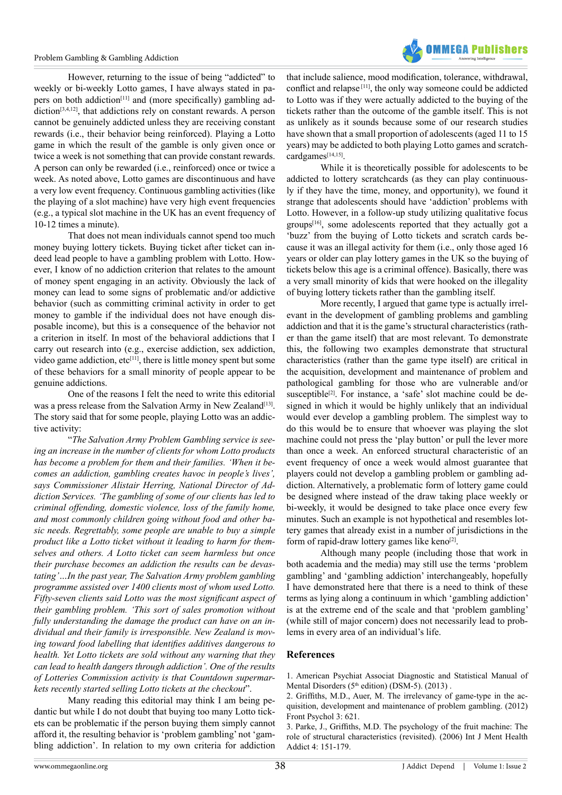

However, returning to the issue of being "addicted" to weekly or bi-weekly Lotto games, I have always stated in papers on both addiction<sup>[11]</sup> and (more specifically) gambling addiction<sup>[3,4,12]</sup>, that addictions rely on constant rewards. A person cannot be genuinely addicted unless they are receiving constant rewards (i.e., their behavior being reinforced). Playing a Lotto game in which the result of the gamble is only given once or twice a week is not something that can provide constant rewards. A person can only be rewarded (i.e., reinforced) once or twice a week. As noted above, Lotto games are discontinuous and have a very low event frequency. Continuous gambling activities (like the playing of a slot machine) have very high event frequencies (e.g., a typical slot machine in the UK has an event frequency of 10-12 times a minute).

That does not mean individuals cannot spend too much money buying lottery tickets. Buying ticket after ticket can indeed lead people to have a gambling problem with Lotto. However, I know of no addiction criterion that relates to the amount of money spent engaging in an activity. Obviously the lack of money can lead to some signs of problematic and/or addictive behavior (such as committing criminal activity in order to get money to gamble if the individual does not have enough disposable income), but this is a consequence of the behavior not a criterion in itself. In most of the behavioral addictions that I carry out research into (e.g., exercise addiction, sex addiction, video game addiction,  $etc<sup>[11]</sup>$ , there is little money spent but some of these behaviors for a small minority of people appear to be genuine addictions.

One of the reasons I felt the need to write this editorial was a press release from the Salvation Army in New Zealand<sup>[13]</sup>. The story said that for some people, playing Lotto was an addictive activity:

"*The Salvation Army Problem Gambling service is seeing an increase in the number of clients for whom Lotto products has become a problem for them and their families. 'When it becomes an addiction, gambling creates havoc in people's lives', says Commissioner Alistair Herring, National Director of Addiction Services. 'The gambling of some of our clients has led to criminal offending, domestic violence, loss of the family home, and most commonly children going without food and other basic needs. Regrettably, some people are unable to buy a simple product like a Lotto ticket without it leading to harm for themselves and others. A Lotto ticket can seem harmless but once their purchase becomes an addiction the results can be devastating'…In the past year, The Salvation Army problem gambling programme assisted over 1400 clients most of whom used Lotto. Fifty-seven clients said Lotto was the most significant aspect of their gambling problem. 'This sort of sales promotion without fully understanding the damage the product can have on an individual and their family is irresponsible. New Zealand is moving toward food labelling that identifies additives dangerous to health. Yet Lotto tickets are sold without any warning that they can lead to health dangers through addiction'. One of the results of Lotteries Commission activity is that Countdown supermarkets recently started selling Lotto tickets at the checkout*".

Many reading this editorial may think I am being pedantic but while I do not doubt that buying too many Lotto tickets can be problematic if the person buying them simply cannot afford it, the resulting behavior is 'problem gambling' not 'gambling addiction'. In relation to my own criteria for addiction that include salience, mood modification, tolerance, withdrawal, conflict and relapse [11], the only way someone could be addicted to Lotto was if they were actually addicted to the buying of the tickets rather than the outcome of the gamble itself. This is not as unlikely as it sounds because some of our research studies have shown that a small proportion of adolescents (aged 11 to 15 years) may be addicted to both playing Lotto games and scratchcardgames<sup>[14,15]</sup>.

While it is theoretically possible for adolescents to be addicted to lottery scratchcards (as they can play continuously if they have the time, money, and opportunity), we found it strange that adolescents should have 'addiction' problems with Lotto. However, in a follow-up study utilizing qualitative focus groups[16], some adolescents reported that they actually got a 'buzz' from the buying of Lotto tickets and scratch cards because it was an illegal activity for them (i.e., only those aged 16 years or older can play lottery games in the UK so the buying of tickets below this age is a criminal offence). Basically, there was a very small minority of kids that were hooked on the illegality of buying lottery tickets rather than the gambling itself.

More recently, I argued that game type is actually irrelevant in the development of gambling problems and gambling addiction and that it is the game's structural characteristics (rather than the game itself) that are most relevant. To demonstrate this, the following two examples demonstrate that structural characteristics (rather than the game type itself) are critical in the acquisition, development and maintenance of problem and pathological gambling for those who are vulnerable and/or susceptible<sup>[2]</sup>. For instance, a 'safe' slot machine could be designed in which it would be highly unlikely that an individual would ever develop a gambling problem. The simplest way to do this would be to ensure that whoever was playing the slot machine could not press the 'play button' or pull the lever more than once a week. An enforced structural characteristic of an event frequency of once a week would almost guarantee that players could not develop a gambling problem or gambling addiction. Alternatively, a problematic form of lottery game could be designed where instead of the draw taking place weekly or bi-weekly, it would be designed to take place once every few minutes. Such an example is not hypothetical and resembles lottery games that already exist in a number of jurisdictions in the form of rapid-draw lottery games like keno<sup>[2]</sup>.

Although many people (including those that work in both academia and the media) may still use the terms 'problem gambling' and 'gambling addiction' interchangeably, hopefully I have demonstrated here that there is a need to think of these terms as lying along a continuum in which 'gambling addiction' is at the extreme end of the scale and that 'problem gambling' (while still of major concern) does not necessarily lead to problems in every area of an individual's life.

## **References**

[1. American Psychiat Associat Diagnostic and Statistical Manual of](http://dhss.delaware.gov/dsamh/files/si2013_dsm5foraddictionsmhandcriminaljustice.pdf) Mental Disorders ( $5<sup>th</sup>$  edition) (DSM-5). (2013).

[2. Griffiths, M.D., Auer, M. The irrelevancy of game-type in the ac](http://www.ncbi.nlm.nih.gov/pmc/articles/PMC3547280/)[quisition, development and maintenance of problem gambling. \(2012\)](http://www.ncbi.nlm.nih.gov/pmc/articles/PMC3547280/) [Front Psychol 3: 621.](http://www.ncbi.nlm.nih.gov/pmc/articles/PMC3547280/)

[3. Parke, J., Griffiths, M.D. The psychology of the fruit machine: The](http://link.springer.com/article/10.1007%2Fs11469-006-9014-z#/page-1) [role of structural characteristics \(revisited\). \(2006\) Int J Ment Health](http://link.springer.com/article/10.1007%2Fs11469-006-9014-z#/page-1) [Addict 4: 151-179.](http://link.springer.com/article/10.1007%2Fs11469-006-9014-z#/page-1)